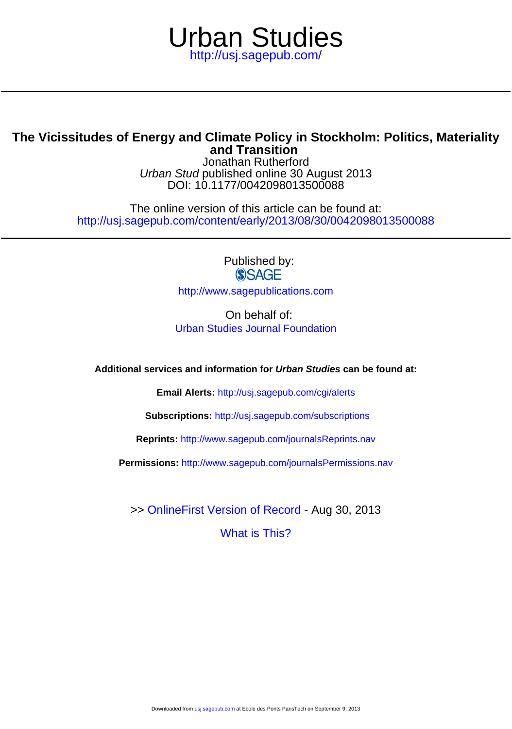

#### **and Transition The Vicissitudes of Energy and Climate Policy in Stockholm: Politics, Materiality**

DOI: 10.1177/0042098013500088 Urban Stud published online 30 August 2013 Jonathan Rutherford

<http://usj.sagepub.com/content/early/2013/08/30/0042098013500088> The online version of this article can be found at:

> Published by:<br>
> SAGE <http://www.sagepublications.com>

On behalf of: [Urban Studies Journal Foundation](http://www.urbanstudiesfoundation.org/)

**Additional services and information for Urban Studies can be found at:**

**Email Alerts:** <http://usj.sagepub.com/cgi/alerts>

**Subscriptions:** <http://usj.sagepub.com/subscriptions>

**Reprints:** <http://www.sagepub.com/journalsReprints.nav>

**Permissions:** <http://www.sagepub.com/journalsPermissions.nav>

>> [OnlineFirst Version of Record -](http://usj.sagepub.com/content/early/2013/08/30/0042098013500088.full.pdf) Aug 30, 2013

[What is This?](http://online.sagepub.com/site/sphelp/vorhelp.xhtml)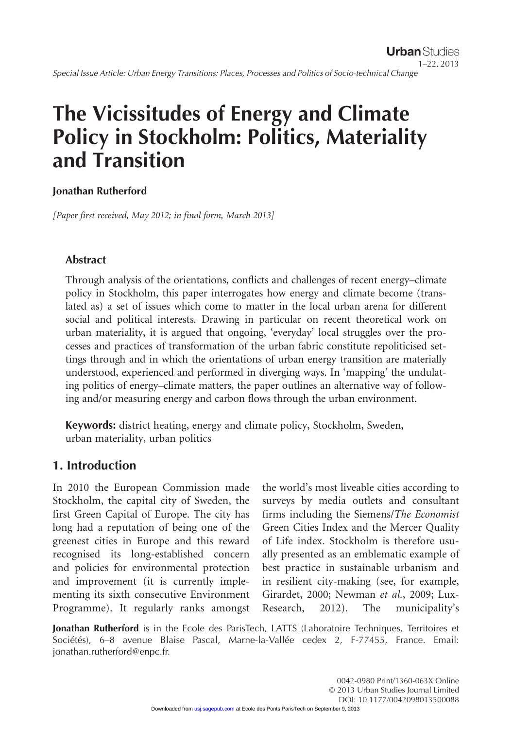# The Vicissitudes of Energy and Climate Policy in Stockholm: Politics, Materiality and Transition

#### Jonathan Rutherford

[Paper first received, May 2012; in final form, March 2013]

## Abstract

Through analysis of the orientations, conflicts and challenges of recent energy–climate policy in Stockholm, this paper interrogates how energy and climate become (translated as) a set of issues which come to matter in the local urban arena for different social and political interests. Drawing in particular on recent theoretical work on urban materiality, it is argued that ongoing, 'everyday' local struggles over the processes and practices of transformation of the urban fabric constitute repoliticised settings through and in which the orientations of urban energy transition are materially understood, experienced and performed in diverging ways. In 'mapping' the undulating politics of energy–climate matters, the paper outlines an alternative way of following and/or measuring energy and carbon flows through the urban environment.

Keywords: district heating, energy and climate policy, Stockholm, Sweden, urban materiality, urban politics

## 1. Introduction

In 2010 the European Commission made Stockholm, the capital city of Sweden, the first Green Capital of Europe. The city has long had a reputation of being one of the greenest cities in Europe and this reward recognised its long-established concern and policies for environmental protection and improvement (it is currently implementing its sixth consecutive Environment Programme). It regularly ranks amongst

the world's most liveable cities according to surveys by media outlets and consultant firms including the Siemens/The Economist Green Cities Index and the Mercer Quality of Life index. Stockholm is therefore usually presented as an emblematic example of best practice in sustainable urbanism and in resilient city-making (see, for example, Girardet, 2000; Newman et al., 2009; Lux-Research, 2012). The municipality's

Jonathan Rutherford is in the Ecole des ParisTech, LATTS (Laboratoire Techniques, Territoires et Sociétés), 6–8 avenue Blaise Pascal, Marne-la-Vallée cedex 2, F-77455, France. Email: jonathan.rutherford@enpc.fr.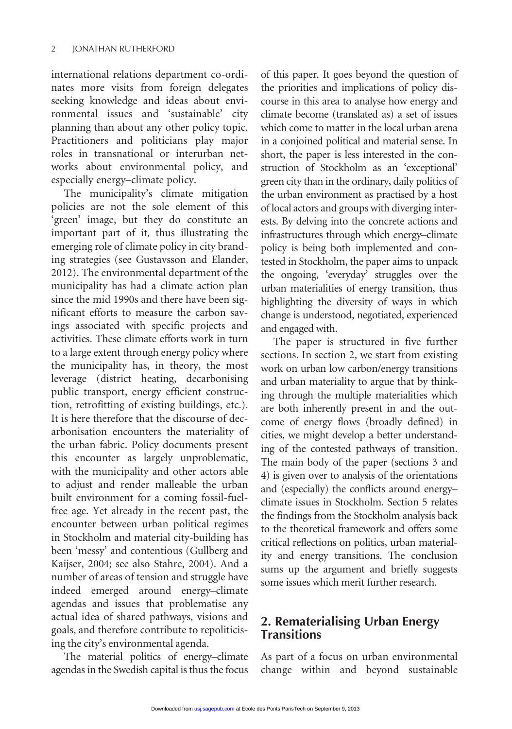international relations department co-ordinates more visits from foreign delegates seeking knowledge and ideas about environmental issues and 'sustainable' city planning than about any other policy topic. Practitioners and politicians play major roles in transnational or interurban networks about environmental policy, and especially energy–climate policy.

The municipality's climate mitigation policies are not the sole element of this 'green' image, but they do constitute an important part of it, thus illustrating the emerging role of climate policy in city branding strategies (see Gustavsson and Elander, 2012). The environmental department of the municipality has had a climate action plan since the mid 1990s and there have been significant efforts to measure the carbon savings associated with specific projects and activities. These climate efforts work in turn to a large extent through energy policy where the municipality has, in theory, the most leverage (district heating, decarbonising public transport, energy efficient construction, retrofitting of existing buildings, etc.). It is here therefore that the discourse of decarbonisation encounters the materiality of the urban fabric. Policy documents present this encounter as largely unproblematic, with the municipality and other actors able to adjust and render malleable the urban built environment for a coming fossil-fuelfree age. Yet already in the recent past, the encounter between urban political regimes in Stockholm and material city-building has been 'messy' and contentious (Gullberg and Kaijser, 2004; see also Stahre, 2004). And a number of areas of tension and struggle have indeed emerged around energy–climate agendas and issues that problematise any actual idea of shared pathways, visions and goals, and therefore contribute to repoliticising the city's environmental agenda.

The material politics of energy–climate agendas in the Swedish capital is thus the focus

of this paper. It goes beyond the question of the priorities and implications of policy discourse in this area to analyse how energy and climate become (translated as) a set of issues which come to matter in the local urban arena in a conjoined political and material sense. In short, the paper is less interested in the construction of Stockholm as an 'exceptional' green city than in the ordinary, daily politics of the urban environment as practised by a host of local actors and groups with diverging interests. By delving into the concrete actions and infrastructures through which energy–climate policy is being both implemented and contested in Stockholm, the paper aims to unpack the ongoing, 'everyday' struggles over the urban materialities of energy transition, thus highlighting the diversity of ways in which change is understood, negotiated, experienced and engaged with.

The paper is structured in five further sections. In section 2, we start from existing work on urban low carbon/energy transitions and urban materiality to argue that by thinking through the multiple materialities which are both inherently present in and the outcome of energy flows (broadly defined) in cities, we might develop a better understanding of the contested pathways of transition. The main body of the paper (sections 3 and 4) is given over to analysis of the orientations and (especially) the conflicts around energy– climate issues in Stockholm. Section 5 relates the findings from the Stockholm analysis back to the theoretical framework and offers some critical reflections on politics, urban materiality and energy transitions. The conclusion sums up the argument and briefly suggests some issues which merit further research.

## 2. Rematerialising Urban Energy **Transitions**

As part of a focus on urban environmental change within and beyond sustainable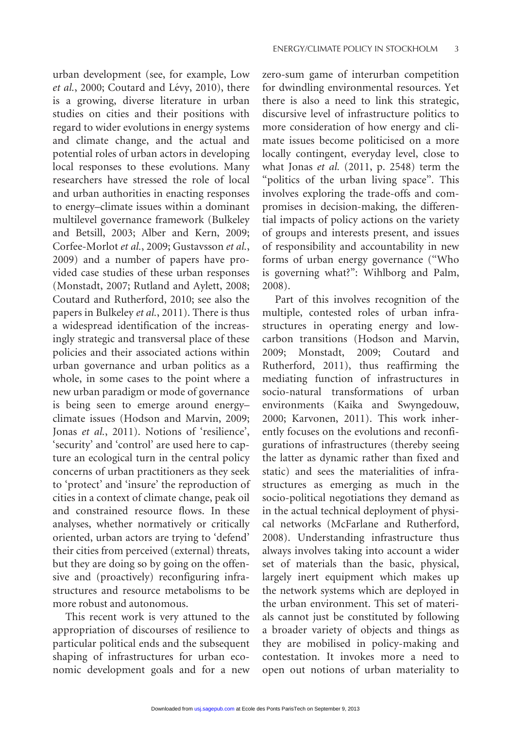urban development (see, for example, Low et al., 2000; Coutard and Lévy, 2010), there is a growing, diverse literature in urban studies on cities and their positions with regard to wider evolutions in energy systems and climate change, and the actual and potential roles of urban actors in developing local responses to these evolutions. Many researchers have stressed the role of local and urban authorities in enacting responses to energy–climate issues within a dominant multilevel governance framework (Bulkeley and Betsill, 2003; Alber and Kern, 2009; Corfee-Morlot et al., 2009; Gustavsson et al., 2009) and a number of papers have provided case studies of these urban responses (Monstadt, 2007; Rutland and Aylett, 2008; Coutard and Rutherford, 2010; see also the papers in Bulkeley et al., 2011). There is thus a widespread identification of the increasingly strategic and transversal place of these policies and their associated actions within urban governance and urban politics as a whole, in some cases to the point where a new urban paradigm or mode of governance is being seen to emerge around energy– climate issues (Hodson and Marvin, 2009; Jonas et al., 2011). Notions of 'resilience', 'security' and 'control' are used here to capture an ecological turn in the central policy concerns of urban practitioners as they seek to 'protect' and 'insure' the reproduction of cities in a context of climate change, peak oil and constrained resource flows. In these analyses, whether normatively or critically oriented, urban actors are trying to 'defend' their cities from perceived (external) threats, but they are doing so by going on the offensive and (proactively) reconfiguring infrastructures and resource metabolisms to be more robust and autonomous.

This recent work is very attuned to the appropriation of discourses of resilience to particular political ends and the subsequent shaping of infrastructures for urban economic development goals and for a new zero-sum game of interurban competition for dwindling environmental resources. Yet there is also a need to link this strategic, discursive level of infrastructure politics to more consideration of how energy and climate issues become politicised on a more locally contingent, everyday level, close to what Jonas et al. (2011, p. 2548) term the "politics of the urban living space". This involves exploring the trade-offs and compromises in decision-making, the differential impacts of policy actions on the variety of groups and interests present, and issues of responsibility and accountability in new forms of urban energy governance (''Who is governing what?'': Wihlborg and Palm, 2008).

Part of this involves recognition of the multiple, contested roles of urban infrastructures in operating energy and lowcarbon transitions (Hodson and Marvin, 2009; Monstadt, 2009; Coutard and Rutherford, 2011), thus reaffirming the mediating function of infrastructures in socio-natural transformations of urban environments (Kaika and Swyngedouw, 2000; Karvonen, 2011). This work inherently focuses on the evolutions and reconfigurations of infrastructures (thereby seeing the latter as dynamic rather than fixed and static) and sees the materialities of infrastructures as emerging as much in the socio-political negotiations they demand as in the actual technical deployment of physical networks (McFarlane and Rutherford, 2008). Understanding infrastructure thus always involves taking into account a wider set of materials than the basic, physical, largely inert equipment which makes up the network systems which are deployed in the urban environment. This set of materials cannot just be constituted by following a broader variety of objects and things as they are mobilised in policy-making and contestation. It invokes more a need to open out notions of urban materiality to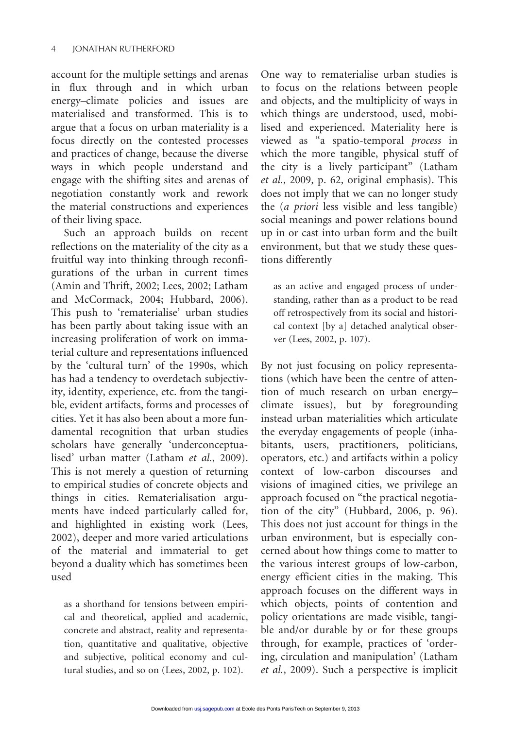account for the multiple settings and arenas in flux through and in which urban energy–climate policies and issues are materialised and transformed. This is to argue that a focus on urban materiality is a focus directly on the contested processes and practices of change, because the diverse ways in which people understand and engage with the shifting sites and arenas of negotiation constantly work and rework the material constructions and experiences of their living space.

Such an approach builds on recent reflections on the materiality of the city as a fruitful way into thinking through reconfigurations of the urban in current times (Amin and Thrift, 2002; Lees, 2002; Latham and McCormack, 2004; Hubbard, 2006). This push to 'rematerialise' urban studies has been partly about taking issue with an increasing proliferation of work on immaterial culture and representations influenced by the 'cultural turn' of the 1990s, which has had a tendency to overdetach subjectivity, identity, experience, etc. from the tangible, evident artifacts, forms and processes of cities. Yet it has also been about a more fundamental recognition that urban studies scholars have generally 'underconceptualised' urban matter (Latham et al., 2009). This is not merely a question of returning to empirical studies of concrete objects and things in cities. Rematerialisation arguments have indeed particularly called for, and highlighted in existing work (Lees, 2002), deeper and more varied articulations of the material and immaterial to get beyond a duality which has sometimes been used

as a shorthand for tensions between empirical and theoretical, applied and academic, concrete and abstract, reality and representation, quantitative and qualitative, objective and subjective, political economy and cultural studies, and so on (Lees, 2002, p. 102).

One way to rematerialise urban studies is to focus on the relations between people and objects, and the multiplicity of ways in which things are understood, used, mobilised and experienced. Materiality here is viewed as ''a spatio-temporal process in which the more tangible, physical stuff of the city is a lively participant'' (Latham et al., 2009, p. 62, original emphasis). This does not imply that we can no longer study the (a priori less visible and less tangible) social meanings and power relations bound up in or cast into urban form and the built environment, but that we study these questions differently

as an active and engaged process of understanding, rather than as a product to be read off retrospectively from its social and historical context [by a] detached analytical observer (Lees, 2002, p. 107).

By not just focusing on policy representations (which have been the centre of attention of much research on urban energy– climate issues), but by foregrounding instead urban materialities which articulate the everyday engagements of people (inhabitants, users, practitioners, politicians, operators, etc.) and artifacts within a policy context of low-carbon discourses and visions of imagined cities, we privilege an approach focused on ''the practical negotiation of the city'' (Hubbard, 2006, p. 96). This does not just account for things in the urban environment, but is especially concerned about how things come to matter to the various interest groups of low-carbon, energy efficient cities in the making. This approach focuses on the different ways in which objects, points of contention and policy orientations are made visible, tangible and/or durable by or for these groups through, for example, practices of 'ordering, circulation and manipulation' (Latham et al., 2009). Such a perspective is implicit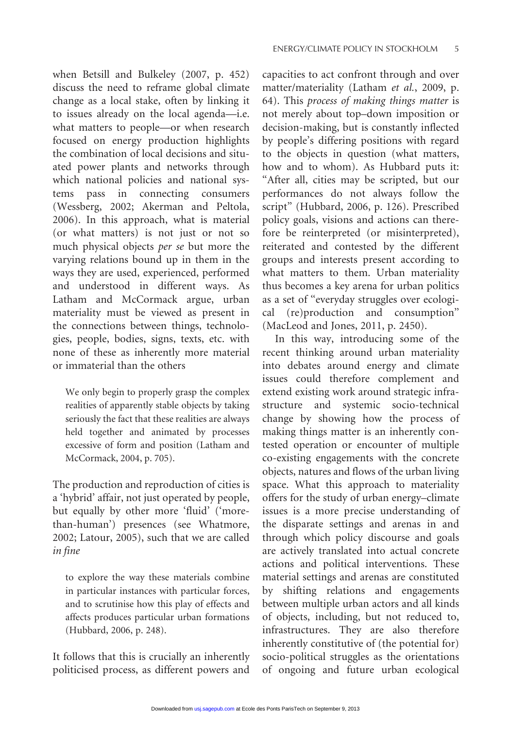when Betsill and Bulkeley (2007, p. 452) discuss the need to reframe global climate change as a local stake, often by linking it to issues already on the local agenda—i.e. what matters to people—or when research focused on energy production highlights the combination of local decisions and situated power plants and networks through which national policies and national systems pass in connecting consumers (Wessberg, 2002; Akerman and Peltola, 2006). In this approach, what is material (or what matters) is not just or not so much physical objects per se but more the varying relations bound up in them in the ways they are used, experienced, performed and understood in different ways. As Latham and McCormack argue, urban materiality must be viewed as present in the connections between things, technologies, people, bodies, signs, texts, etc. with none of these as inherently more material or immaterial than the others

We only begin to properly grasp the complex realities of apparently stable objects by taking seriously the fact that these realities are always held together and animated by processes excessive of form and position (Latham and McCormack, 2004, p. 705).

The production and reproduction of cities is a 'hybrid' affair, not just operated by people, but equally by other more 'fluid' ('morethan-human') presences (see Whatmore, 2002; Latour, 2005), such that we are called in fine

to explore the way these materials combine in particular instances with particular forces, and to scrutinise how this play of effects and affects produces particular urban formations (Hubbard, 2006, p. 248).

It follows that this is crucially an inherently politicised process, as different powers and capacities to act confront through and over matter/materiality (Latham et al., 2009, p. 64). This process of making things matter is not merely about top–down imposition or decision-making, but is constantly inflected by people's differing positions with regard to the objects in question (what matters, how and to whom). As Hubbard puts it: "After all, cities may be scripted, but our performances do not always follow the script'' (Hubbard, 2006, p. 126). Prescribed policy goals, visions and actions can therefore be reinterpreted (or misinterpreted), reiterated and contested by the different groups and interests present according to what matters to them. Urban materiality thus becomes a key arena for urban politics as a set of ''everyday struggles over ecological (re)production and consumption'' (MacLeod and Jones, 2011, p. 2450).

In this way, introducing some of the recent thinking around urban materiality into debates around energy and climate issues could therefore complement and extend existing work around strategic infrastructure and systemic socio-technical change by showing how the process of making things matter is an inherently contested operation or encounter of multiple co-existing engagements with the concrete objects, natures and flows of the urban living space. What this approach to materiality offers for the study of urban energy–climate issues is a more precise understanding of the disparate settings and arenas in and through which policy discourse and goals are actively translated into actual concrete actions and political interventions. These material settings and arenas are constituted by shifting relations and engagements between multiple urban actors and all kinds of objects, including, but not reduced to, infrastructures. They are also therefore inherently constitutive of (the potential for) socio-political struggles as the orientations of ongoing and future urban ecological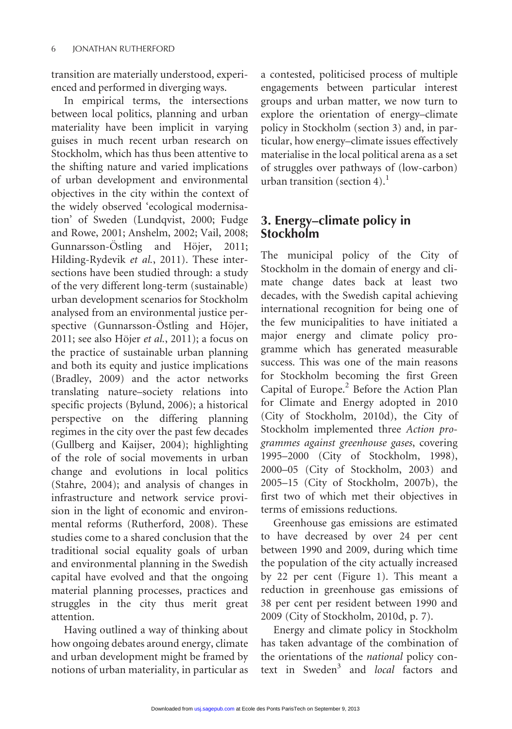transition are materially understood, experienced and performed in diverging ways.

In empirical terms, the intersections between local politics, planning and urban materiality have been implicit in varying guises in much recent urban research on Stockholm, which has thus been attentive to the shifting nature and varied implications of urban development and environmental objectives in the city within the context of the widely observed 'ecological modernisation' of Sweden (Lundqvist, 2000; Fudge and Rowe, 2001; Anshelm, 2002; Vail, 2008; Gunnarsson-Östling and Höjer, 2011; Hilding-Rydevik et al., 2011). These intersections have been studied through: a study of the very different long-term (sustainable) urban development scenarios for Stockholm analysed from an environmental justice perspective (Gunnarsson-Östling and Höjer,  $2011$ ; see also Höjer *et al.*,  $2011$ ); a focus on the practice of sustainable urban planning and both its equity and justice implications (Bradley, 2009) and the actor networks translating nature–society relations into specific projects (Bylund, 2006); a historical perspective on the differing planning regimes in the city over the past few decades (Gullberg and Kaijser, 2004); highlighting of the role of social movements in urban change and evolutions in local politics (Stahre, 2004); and analysis of changes in infrastructure and network service provision in the light of economic and environmental reforms (Rutherford, 2008). These studies come to a shared conclusion that the traditional social equality goals of urban and environmental planning in the Swedish capital have evolved and that the ongoing material planning processes, practices and struggles in the city thus merit great attention.

Having outlined a way of thinking about how ongoing debates around energy, climate and urban development might be framed by notions of urban materiality, in particular as a contested, politicised process of multiple engagements between particular interest groups and urban matter, we now turn to explore the orientation of energy–climate policy in Stockholm (section 3) and, in particular, how energy–climate issues effectively materialise in the local political arena as a set of struggles over pathways of (low-carbon) urban transition (section 4).<sup>1</sup>

## 3. Energy–climate policy in Stockholm

The municipal policy of the City of Stockholm in the domain of energy and climate change dates back at least two decades, with the Swedish capital achieving international recognition for being one of the few municipalities to have initiated a major energy and climate policy programme which has generated measurable success. This was one of the main reasons for Stockholm becoming the first Green Capital of Europe.<sup>2</sup> Before the Action Plan for Climate and Energy adopted in 2010 (City of Stockholm, 2010d), the City of Stockholm implemented three Action programmes against greenhouse gases, covering 1995–2000 (City of Stockholm, 1998), 2000–05 (City of Stockholm, 2003) and 2005–15 (City of Stockholm, 2007b), the first two of which met their objectives in terms of emissions reductions.

Greenhouse gas emissions are estimated to have decreased by over 24 per cent between 1990 and 2009, during which time the population of the city actually increased by 22 per cent (Figure 1). This meant a reduction in greenhouse gas emissions of 38 per cent per resident between 1990 and 2009 (City of Stockholm, 2010d, p. 7).

Energy and climate policy in Stockholm has taken advantage of the combination of the orientations of the national policy context in Sweden<sup>3</sup> and local factors and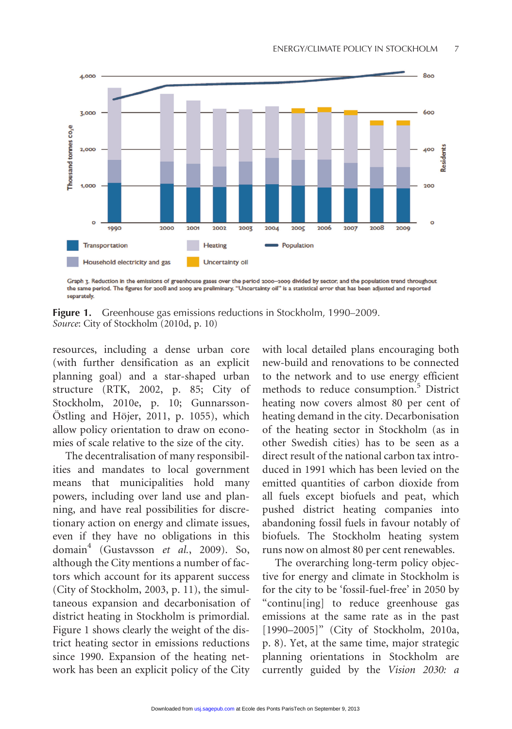

Graph 3. Reduction in the emissions of greenhouse gases over the period 2000-2009 divided by sector, and the population trend throughout the same period. The figures for 2008 and 2009 are preliminary. "Uncertainty oil" is a statistical error that has been adjusted and reported separately

Figure 1. Greenhouse gas emissions reductions in Stockholm, 1990–2009. Source: City of Stockholm (2010d, p. 10)

resources, including a dense urban core (with further densification as an explicit planning goal) and a star-shaped urban structure (RTK, 2002, p. 85; City of Stockholm, 2010e, p. 10; Gunnarsson-Östling and Höjer, 2011, p. 1055), which allow policy orientation to draw on economies of scale relative to the size of the city.

The decentralisation of many responsibilities and mandates to local government means that municipalities hold many powers, including over land use and planning, and have real possibilities for discretionary action on energy and climate issues, even if they have no obligations in this domain<sup>4</sup> (Gustavsson et al., 2009). So, although the City mentions a number of factors which account for its apparent success (City of Stockholm, 2003, p. 11), the simultaneous expansion and decarbonisation of district heating in Stockholm is primordial. Figure 1 shows clearly the weight of the district heating sector in emissions reductions since 1990. Expansion of the heating network has been an explicit policy of the City

with local detailed plans encouraging both new-build and renovations to be connected to the network and to use energy efficient methods to reduce consumption.<sup>5</sup> District heating now covers almost 80 per cent of heating demand in the city. Decarbonisation of the heating sector in Stockholm (as in other Swedish cities) has to be seen as a direct result of the national carbon tax introduced in 1991 which has been levied on the emitted quantities of carbon dioxide from all fuels except biofuels and peat, which pushed district heating companies into abandoning fossil fuels in favour notably of biofuels. The Stockholm heating system runs now on almost 80 per cent renewables.

The overarching long-term policy objective for energy and climate in Stockholm is for the city to be 'fossil-fuel-free' in 2050 by ''continu[ing] to reduce greenhouse gas emissions at the same rate as in the past [1990–2005]" (City of Stockholm, 2010a, p. 8). Yet, at the same time, major strategic planning orientations in Stockholm are currently guided by the Vision 2030: a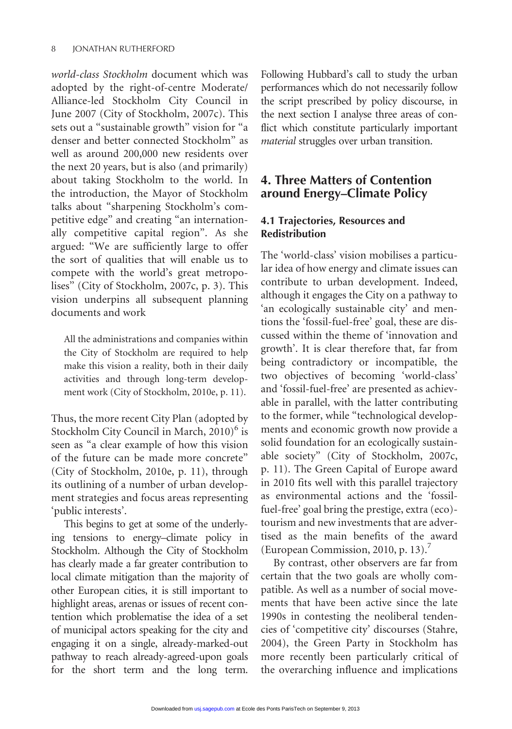world-class Stockholm document which was adopted by the right-of-centre Moderate/ Alliance-led Stockholm City Council in June 2007 (City of Stockholm, 2007c). This sets out a ''sustainable growth'' vision for ''a denser and better connected Stockholm'' as well as around 200,000 new residents over the next 20 years, but is also (and primarily) about taking Stockholm to the world. In the introduction, the Mayor of Stockholm talks about ''sharpening Stockholm's competitive edge" and creating "an internationally competitive capital region''. As she argued: ''We are sufficiently large to offer the sort of qualities that will enable us to compete with the world's great metropolises'' (City of Stockholm, 2007c, p. 3). This vision underpins all subsequent planning documents and work

All the administrations and companies within the City of Stockholm are required to help make this vision a reality, both in their daily activities and through long-term development work (City of Stockholm, 2010e, p. 11).

Thus, the more recent City Plan (adopted by Stockholm City Council in March,  $2010$ <sup>6</sup> is seen as ''a clear example of how this vision of the future can be made more concrete'' (City of Stockholm, 2010e, p. 11), through its outlining of a number of urban development strategies and focus areas representing 'public interests'.

This begins to get at some of the underlying tensions to energy–climate policy in Stockholm. Although the City of Stockholm has clearly made a far greater contribution to local climate mitigation than the majority of other European cities, it is still important to highlight areas, arenas or issues of recent contention which problematise the idea of a set of municipal actors speaking for the city and engaging it on a single, already-marked-out pathway to reach already-agreed-upon goals for the short term and the long term.

Following Hubbard's call to study the urban performances which do not necessarily follow the script prescribed by policy discourse, in the next section I analyse three areas of conflict which constitute particularly important material struggles over urban transition.

## 4. Three Matters of Contention around Energy–Climate Policy

#### 4.1 Trajectories, Resources and Redistribution

The 'world-class' vision mobilises a particular idea of how energy and climate issues can contribute to urban development. Indeed, although it engages the City on a pathway to 'an ecologically sustainable city' and mentions the 'fossil-fuel-free' goal, these are discussed within the theme of 'innovation and growth'. It is clear therefore that, far from being contradictory or incompatible, the two objectives of becoming 'world-class' and 'fossil-fuel-free' are presented as achievable in parallel, with the latter contributing to the former, while ''technological developments and economic growth now provide a solid foundation for an ecologically sustainable society'' (City of Stockholm, 2007c, p. 11). The Green Capital of Europe award in 2010 fits well with this parallel trajectory as environmental actions and the 'fossilfuel-free' goal bring the prestige, extra (eco) tourism and new investments that are advertised as the main benefits of the award (European Commission, 2010, p. 13).7

By contrast, other observers are far from certain that the two goals are wholly compatible. As well as a number of social movements that have been active since the late 1990s in contesting the neoliberal tendencies of 'competitive city' discourses (Stahre, 2004), the Green Party in Stockholm has more recently been particularly critical of the overarching influence and implications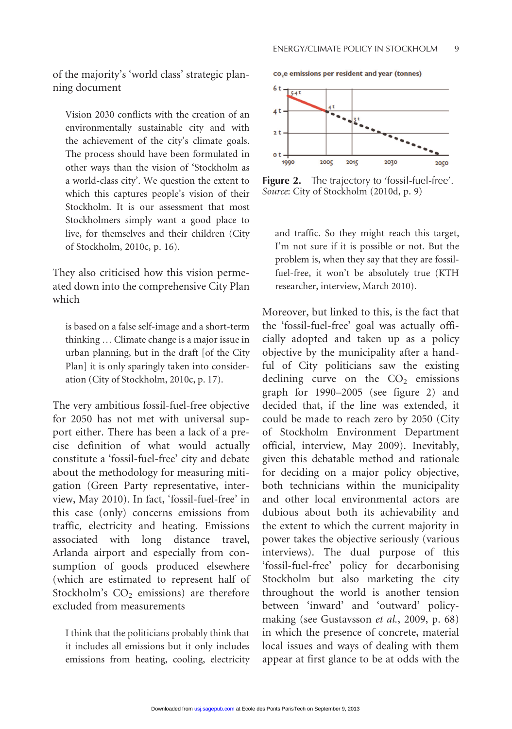of the majority's 'world class' strategic planning document

Vision 2030 conflicts with the creation of an environmentally sustainable city and with the achievement of the city's climate goals. The process should have been formulated in other ways than the vision of 'Stockholm as a world-class city'. We question the extent to which this captures people's vision of their Stockholm. It is our assessment that most Stockholmers simply want a good place to live, for themselves and their children (City of Stockholm, 2010c, p. 16).

They also criticised how this vision permeated down into the comprehensive City Plan which

is based on a false self-image and a short-term thinking ... Climate change is a major issue in urban planning, but in the draft [of the City Plan] it is only sparingly taken into consideration (City of Stockholm, 2010c, p. 17).

The very ambitious fossil-fuel-free objective for 2050 has not met with universal support either. There has been a lack of a precise definition of what would actually constitute a 'fossil-fuel-free' city and debate about the methodology for measuring mitigation (Green Party representative, interview, May 2010). In fact, 'fossil-fuel-free' in this case (only) concerns emissions from traffic, electricity and heating. Emissions associated with long distance travel, Arlanda airport and especially from consumption of goods produced elsewhere (which are estimated to represent half of Stockholm's  $CO<sub>2</sub>$  emissions) are therefore excluded from measurements

I think that the politicians probably think that it includes all emissions but it only includes emissions from heating, cooling, electricity co,e emissions per resident and year (tonnes)



Figure 2. The trajectory to 'fossil-fuel-free'. Source: City of Stockholm (2010d, p. 9)

and traffic. So they might reach this target, I'm not sure if it is possible or not. But the problem is, when they say that they are fossilfuel-free, it won't be absolutely true (KTH researcher, interview, March 2010).

Moreover, but linked to this, is the fact that the 'fossil-fuel-free' goal was actually officially adopted and taken up as a policy objective by the municipality after a handful of City politicians saw the existing declining curve on the  $CO<sub>2</sub>$  emissions graph for 1990–2005 (see figure 2) and decided that, if the line was extended, it could be made to reach zero by 2050 (City of Stockholm Environment Department official, interview, May 2009). Inevitably, given this debatable method and rationale for deciding on a major policy objective, both technicians within the municipality and other local environmental actors are dubious about both its achievability and the extent to which the current majority in power takes the objective seriously (various interviews). The dual purpose of this 'fossil-fuel-free' policy for decarbonising Stockholm but also marketing the city throughout the world is another tension between 'inward' and 'outward' policymaking (see Gustavsson et al., 2009, p. 68) in which the presence of concrete, material local issues and ways of dealing with them appear at first glance to be at odds with the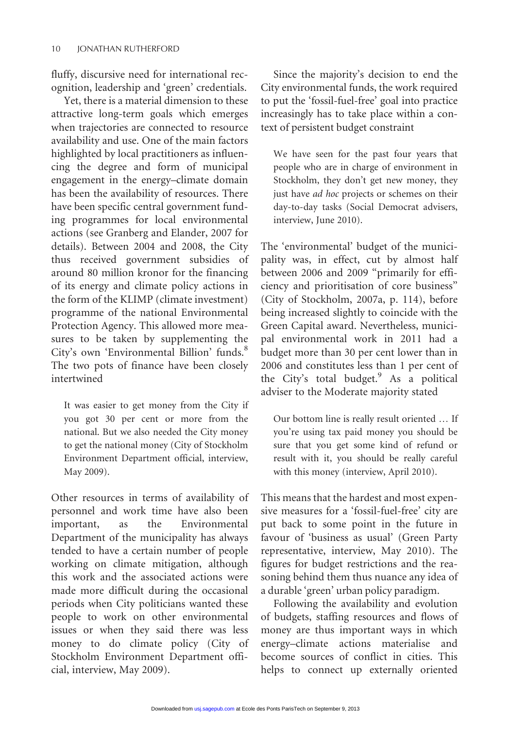fluffy, discursive need for international recognition, leadership and 'green' credentials.

Yet, there is a material dimension to these attractive long-term goals which emerges when trajectories are connected to resource availability and use. One of the main factors highlighted by local practitioners as influencing the degree and form of municipal engagement in the energy–climate domain has been the availability of resources. There have been specific central government funding programmes for local environmental actions (see Granberg and Elander, 2007 for details). Between 2004 and 2008, the City thus received government subsidies of around 80 million kronor for the financing of its energy and climate policy actions in the form of the KLIMP (climate investment) programme of the national Environmental Protection Agency. This allowed more measures to be taken by supplementing the City's own 'Environmental Billion' funds.<sup>8</sup> The two pots of finance have been closely intertwined

It was easier to get money from the City if you got 30 per cent or more from the national. But we also needed the City money to get the national money (City of Stockholm Environment Department official, interview, May 2009).

Other resources in terms of availability of personnel and work time have also been important, as the Environmental Department of the municipality has always tended to have a certain number of people working on climate mitigation, although this work and the associated actions were made more difficult during the occasional periods when City politicians wanted these people to work on other environmental issues or when they said there was less money to do climate policy (City of Stockholm Environment Department official, interview, May 2009).

Since the majority's decision to end the City environmental funds, the work required to put the 'fossil-fuel-free' goal into practice increasingly has to take place within a context of persistent budget constraint

We have seen for the past four years that people who are in charge of environment in Stockholm, they don't get new money, they just have *ad hoc* projects or schemes on their day-to-day tasks (Social Democrat advisers, interview, June 2010).

The 'environmental' budget of the municipality was, in effect, cut by almost half between 2006 and 2009 ''primarily for efficiency and prioritisation of core business'' (City of Stockholm, 2007a, p. 114), before being increased slightly to coincide with the Green Capital award. Nevertheless, municipal environmental work in 2011 had a budget more than 30 per cent lower than in 2006 and constitutes less than 1 per cent of the City's total budget.<sup>9</sup> As a political adviser to the Moderate majority stated

Our bottom line is really result oriented ... If you're using tax paid money you should be sure that you get some kind of refund or result with it, you should be really careful with this money (interview, April 2010).

This means that the hardest and most expensive measures for a 'fossil-fuel-free' city are put back to some point in the future in favour of 'business as usual' (Green Party representative, interview, May 2010). The figures for budget restrictions and the reasoning behind them thus nuance any idea of a durable 'green' urban policy paradigm.

Following the availability and evolution of budgets, staffing resources and flows of money are thus important ways in which energy–climate actions materialise and become sources of conflict in cities. This helps to connect up externally oriented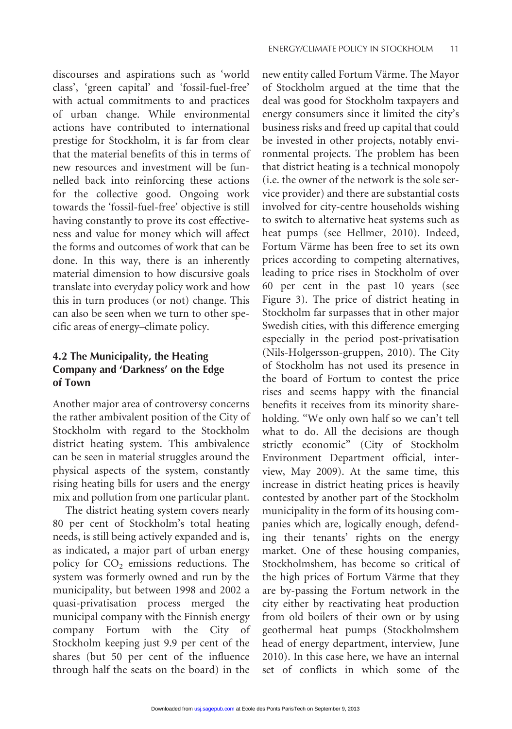discourses and aspirations such as 'world class', 'green capital' and 'fossil-fuel-free' with actual commitments to and practices of urban change. While environmental actions have contributed to international prestige for Stockholm, it is far from clear that the material benefits of this in terms of new resources and investment will be funnelled back into reinforcing these actions for the collective good. Ongoing work towards the 'fossil-fuel-free' objective is still having constantly to prove its cost effectiveness and value for money which will affect the forms and outcomes of work that can be done. In this way, there is an inherently material dimension to how discursive goals translate into everyday policy work and how this in turn produces (or not) change. This can also be seen when we turn to other specific areas of energy–climate policy.

#### 4.2 The Municipality, the Heating Company and 'Darkness' on the Edge of Town

Another major area of controversy concerns the rather ambivalent position of the City of Stockholm with regard to the Stockholm district heating system. This ambivalence can be seen in material struggles around the physical aspects of the system, constantly rising heating bills for users and the energy mix and pollution from one particular plant.

The district heating system covers nearly 80 per cent of Stockholm's total heating needs, is still being actively expanded and is, as indicated, a major part of urban energy policy for  $CO<sub>2</sub>$  emissions reductions. The system was formerly owned and run by the municipality, but between 1998 and 2002 a quasi-privatisation process merged the municipal company with the Finnish energy company Fortum with the City of Stockholm keeping just 9.9 per cent of the shares (but 50 per cent of the influence through half the seats on the board) in the new entity called Fortum Värme. The Mayor of Stockholm argued at the time that the deal was good for Stockholm taxpayers and energy consumers since it limited the city's business risks and freed up capital that could be invested in other projects, notably environmental projects. The problem has been that district heating is a technical monopoly (i.e. the owner of the network is the sole service provider) and there are substantial costs involved for city-centre households wishing to switch to alternative heat systems such as heat pumps (see Hellmer, 2010). Indeed, Fortum Värme has been free to set its own prices according to competing alternatives, leading to price rises in Stockholm of over 60 per cent in the past 10 years (see Figure 3). The price of district heating in Stockholm far surpasses that in other major Swedish cities, with this difference emerging especially in the period post-privatisation (Nils-Holgersson-gruppen, 2010). The City of Stockholm has not used its presence in the board of Fortum to contest the price rises and seems happy with the financial benefits it receives from its minority shareholding. ''We only own half so we can't tell what to do. All the decisions are though strictly economic'' (City of Stockholm Environment Department official, interview, May 2009). At the same time, this increase in district heating prices is heavily contested by another part of the Stockholm municipality in the form of its housing companies which are, logically enough, defending their tenants' rights on the energy market. One of these housing companies, Stockholmshem, has become so critical of the high prices of Fortum Värme that they are by-passing the Fortum network in the city either by reactivating heat production from old boilers of their own or by using geothermal heat pumps (Stockholmshem head of energy department, interview, June 2010). In this case here, we have an internal set of conflicts in which some of the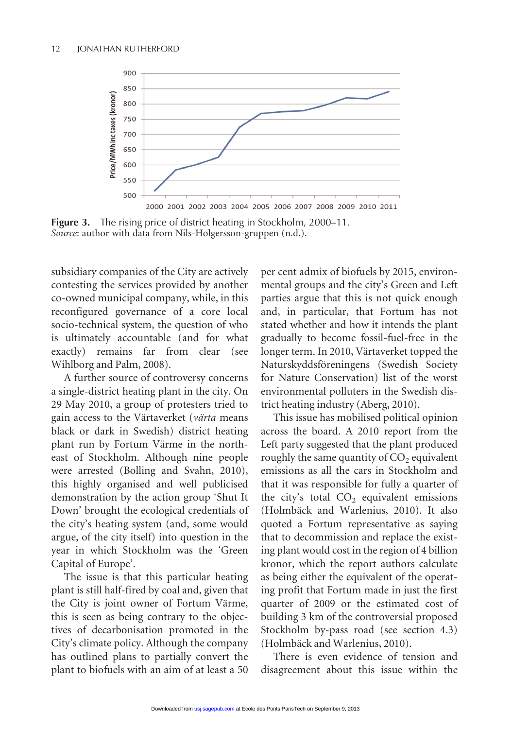

**Figure 3.** The rising price of district heating in Stockholm, 2000–11. Source: author with data from Nils-Holgersson-gruppen (n.d.).

subsidiary companies of the City are actively contesting the services provided by another co-owned municipal company, while, in this reconfigured governance of a core local socio-technical system, the question of who is ultimately accountable (and for what exactly) remains far from clear (see Wihlborg and Palm, 2008).

A further source of controversy concerns a single-district heating plant in the city. On 29 May 2010, a group of protesters tried to gain access to the Värtaverket (värta means black or dark in Swedish) district heating plant run by Fortum Värme in the northeast of Stockholm. Although nine people were arrested (Bolling and Svahn, 2010), this highly organised and well publicised demonstration by the action group 'Shut It Down' brought the ecological credentials of the city's heating system (and, some would argue, of the city itself) into question in the year in which Stockholm was the 'Green Capital of Europe'.

The issue is that this particular heating plant is still half-fired by coal and, given that the City is joint owner of Fortum Värme, this is seen as being contrary to the objectives of decarbonisation promoted in the City's climate policy. Although the company has outlined plans to partially convert the plant to biofuels with an aim of at least a 50

per cent admix of biofuels by 2015, environmental groups and the city's Green and Left parties argue that this is not quick enough and, in particular, that Fortum has not stated whether and how it intends the plant gradually to become fossil-fuel-free in the longer term. In 2010, Värtaverket topped the Naturskyddsföreningens (Swedish Society for Nature Conservation) list of the worst environmental polluters in the Swedish district heating industry (Aberg, 2010).

This issue has mobilised political opinion across the board. A 2010 report from the Left party suggested that the plant produced roughly the same quantity of  $CO<sub>2</sub>$  equivalent emissions as all the cars in Stockholm and that it was responsible for fully a quarter of the city's total  $CO<sub>2</sub>$  equivalent emissions (Holmbäck and Warlenius, 2010). It also quoted a Fortum representative as saying that to decommission and replace the existing plant would cost in the region of 4 billion kronor, which the report authors calculate as being either the equivalent of the operating profit that Fortum made in just the first quarter of 2009 or the estimated cost of building 3 km of the controversial proposed Stockholm by-pass road (see section 4.3) (Holmbäck and Warlenius, 2010).

There is even evidence of tension and disagreement about this issue within the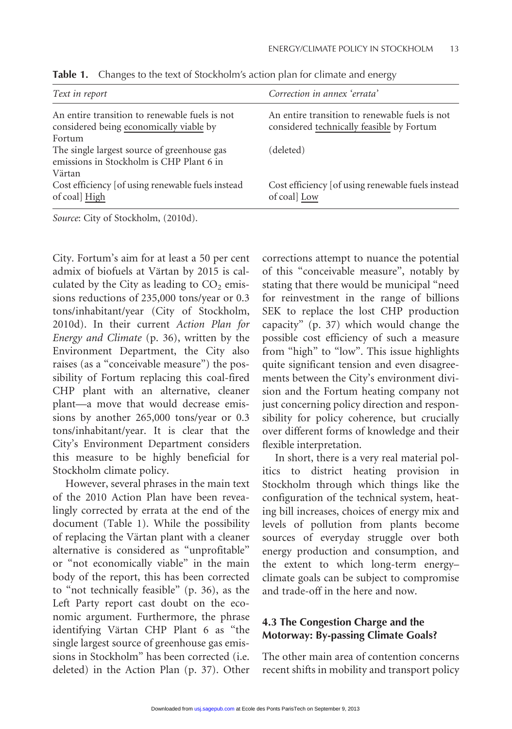| Text in report                                                                                    | Correction in annex 'errata'                                                                |
|---------------------------------------------------------------------------------------------------|---------------------------------------------------------------------------------------------|
| An entire transition to renewable fuels is not<br>considered being economically viable by         | An entire transition to renewable fuels is not<br>considered technically feasible by Fortum |
| Fortum<br>The single largest source of greenhouse gas<br>emissions in Stockholm is CHP Plant 6 in | (deleted)                                                                                   |
| Värtan<br>Cost efficiency [of using renewable fuels instead<br>of coal High                       | Cost efficiency [of using renewable fuels instead<br>of coal Low                            |

Table 1. Changes to the text of Stockholm's action plan for climate and energy

Source: City of Stockholm, (2010d).

City. Fortum's aim for at least a 50 per cent admix of biofuels at Värtan by 2015 is calculated by the City as leading to  $CO<sub>2</sub>$  emissions reductions of 235,000 tons/year or 0.3 tons/inhabitant/year (City of Stockholm, 2010d). In their current Action Plan for Energy and Climate (p. 36), written by the Environment Department, the City also raises (as a ''conceivable measure'') the possibility of Fortum replacing this coal-fired CHP plant with an alternative, cleaner plant—a move that would decrease emissions by another 265,000 tons/year or 0.3 tons/inhabitant/year. It is clear that the City's Environment Department considers this measure to be highly beneficial for Stockholm climate policy.

However, several phrases in the main text of the 2010 Action Plan have been revealingly corrected by errata at the end of the document (Table 1). While the possibility of replacing the Värtan plant with a cleaner alternative is considered as ''unprofitable'' or "not economically viable" in the main body of the report, this has been corrected to "not technically feasible" (p. 36), as the Left Party report cast doubt on the economic argument. Furthermore, the phrase identifying Värtan CHP Plant 6 as "the single largest source of greenhouse gas emissions in Stockholm'' has been corrected (i.e. deleted) in the Action Plan (p. 37). Other corrections attempt to nuance the potential of this ''conceivable measure'', notably by stating that there would be municipal ''need for reinvestment in the range of billions SEK to replace the lost CHP production capacity'' (p. 37) which would change the possible cost efficiency of such a measure from "high" to "low". This issue highlights quite significant tension and even disagreements between the City's environment division and the Fortum heating company not just concerning policy direction and responsibility for policy coherence, but crucially over different forms of knowledge and their flexible interpretation.

In short, there is a very real material politics to district heating provision in Stockholm through which things like the configuration of the technical system, heating bill increases, choices of energy mix and levels of pollution from plants become sources of everyday struggle over both energy production and consumption, and the extent to which long-term energy– climate goals can be subject to compromise and trade-off in the here and now.

#### 4.3 The Congestion Charge and the Motorway: By-passing Climate Goals?

The other main area of contention concerns recent shifts in mobility and transport policy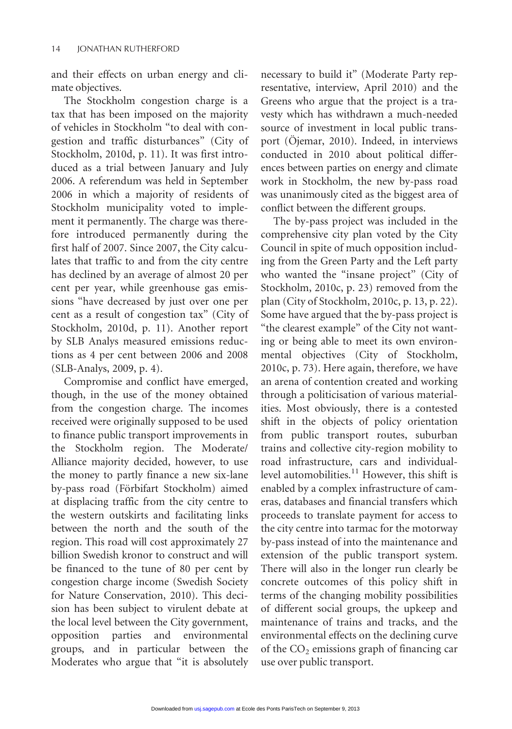and their effects on urban energy and climate objectives.

The Stockholm congestion charge is a tax that has been imposed on the majority of vehicles in Stockholm ''to deal with congestion and traffic disturbances'' (City of Stockholm, 2010d, p. 11). It was first introduced as a trial between January and July 2006. A referendum was held in September 2006 in which a majority of residents of Stockholm municipality voted to implement it permanently. The charge was therefore introduced permanently during the first half of 2007. Since 2007, the City calculates that traffic to and from the city centre has declined by an average of almost 20 per cent per year, while greenhouse gas emissions ''have decreased by just over one per cent as a result of congestion tax'' (City of Stockholm, 2010d, p. 11). Another report by SLB Analys measured emissions reductions as 4 per cent between 2006 and 2008 (SLB-Analys, 2009, p. 4).

Compromise and conflict have emerged, though, in the use of the money obtained from the congestion charge. The incomes received were originally supposed to be used to finance public transport improvements in the Stockholm region. The Moderate/ Alliance majority decided, however, to use the money to partly finance a new six-lane by-pass road (Förbifart Stockholm) aimed at displacing traffic from the city centre to the western outskirts and facilitating links between the north and the south of the region. This road will cost approximately 27 billion Swedish kronor to construct and will be financed to the tune of 80 per cent by congestion charge income (Swedish Society for Nature Conservation, 2010). This decision has been subject to virulent debate at the local level between the City government, opposition parties and environmental groups, and in particular between the Moderates who argue that "it is absolutely necessary to build it'' (Moderate Party representative, interview, April 2010) and the Greens who argue that the project is a travesty which has withdrawn a much-needed source of investment in local public transport (Öjemar, 2010). Indeed, in interviews conducted in 2010 about political differences between parties on energy and climate work in Stockholm, the new by-pass road was unanimously cited as the biggest area of conflict between the different groups.

The by-pass project was included in the comprehensive city plan voted by the City Council in spite of much opposition including from the Green Party and the Left party who wanted the "insane project" (City of Stockholm, 2010c, p. 23) removed from the plan (City of Stockholm, 2010c, p. 13, p. 22). Some have argued that the by-pass project is "the clearest example" of the City not wanting or being able to meet its own environmental objectives (City of Stockholm, 2010c, p. 73). Here again, therefore, we have an arena of contention created and working through a politicisation of various materialities. Most obviously, there is a contested shift in the objects of policy orientation from public transport routes, suburban trains and collective city-region mobility to road infrastructure, cars and individuallevel automobilities.<sup>11</sup> However, this shift is enabled by a complex infrastructure of cameras, databases and financial transfers which proceeds to translate payment for access to the city centre into tarmac for the motorway by-pass instead of into the maintenance and extension of the public transport system. There will also in the longer run clearly be concrete outcomes of this policy shift in terms of the changing mobility possibilities of different social groups, the upkeep and maintenance of trains and tracks, and the environmental effects on the declining curve of the  $CO<sub>2</sub>$  emissions graph of financing car use over public transport.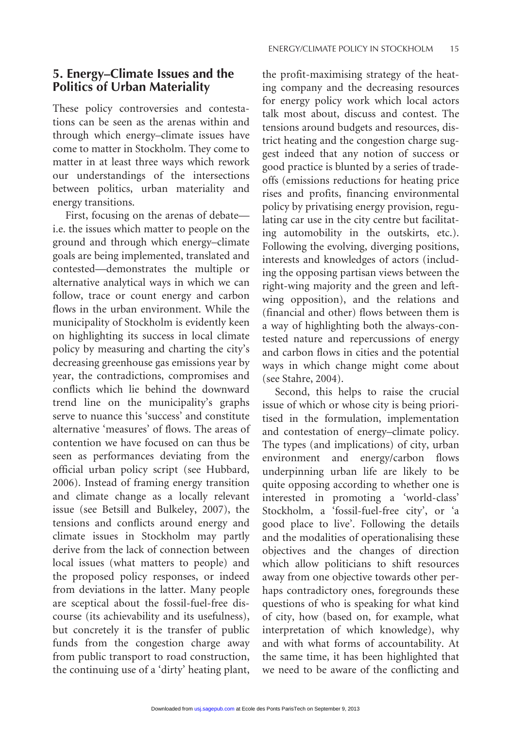#### 5. Energy–Climate Issues and the Politics of Urban Materiality

These policy controversies and contestations can be seen as the arenas within and through which energy–climate issues have come to matter in Stockholm. They come to matter in at least three ways which rework our understandings of the intersections between politics, urban materiality and energy transitions.

First, focusing on the arenas of debate i.e. the issues which matter to people on the ground and through which energy–climate goals are being implemented, translated and contested—demonstrates the multiple or alternative analytical ways in which we can follow, trace or count energy and carbon flows in the urban environment. While the municipality of Stockholm is evidently keen on highlighting its success in local climate policy by measuring and charting the city's decreasing greenhouse gas emissions year by year, the contradictions, compromises and conflicts which lie behind the downward trend line on the municipality's graphs serve to nuance this 'success' and constitute alternative 'measures' of flows. The areas of contention we have focused on can thus be seen as performances deviating from the official urban policy script (see Hubbard, 2006). Instead of framing energy transition and climate change as a locally relevant issue (see Betsill and Bulkeley, 2007), the tensions and conflicts around energy and climate issues in Stockholm may partly derive from the lack of connection between local issues (what matters to people) and the proposed policy responses, or indeed from deviations in the latter. Many people are sceptical about the fossil-fuel-free discourse (its achievability and its usefulness), but concretely it is the transfer of public funds from the congestion charge away from public transport to road construction, the continuing use of a 'dirty' heating plant,

the profit-maximising strategy of the heating company and the decreasing resources for energy policy work which local actors talk most about, discuss and contest. The tensions around budgets and resources, district heating and the congestion charge suggest indeed that any notion of success or good practice is blunted by a series of tradeoffs (emissions reductions for heating price rises and profits, financing environmental policy by privatising energy provision, regulating car use in the city centre but facilitating automobility in the outskirts, etc.). Following the evolving, diverging positions, interests and knowledges of actors (including the opposing partisan views between the right-wing majority and the green and leftwing opposition), and the relations and (financial and other) flows between them is a way of highlighting both the always-contested nature and repercussions of energy and carbon flows in cities and the potential ways in which change might come about (see Stahre, 2004).

Second, this helps to raise the crucial issue of which or whose city is being prioritised in the formulation, implementation and contestation of energy–climate policy. The types (and implications) of city, urban environment and energy/carbon flows underpinning urban life are likely to be quite opposing according to whether one is interested in promoting a 'world-class' Stockholm, a 'fossil-fuel-free city', or 'a good place to live'. Following the details and the modalities of operationalising these objectives and the changes of direction which allow politicians to shift resources away from one objective towards other perhaps contradictory ones, foregrounds these questions of who is speaking for what kind of city, how (based on, for example, what interpretation of which knowledge), why and with what forms of accountability. At the same time, it has been highlighted that we need to be aware of the conflicting and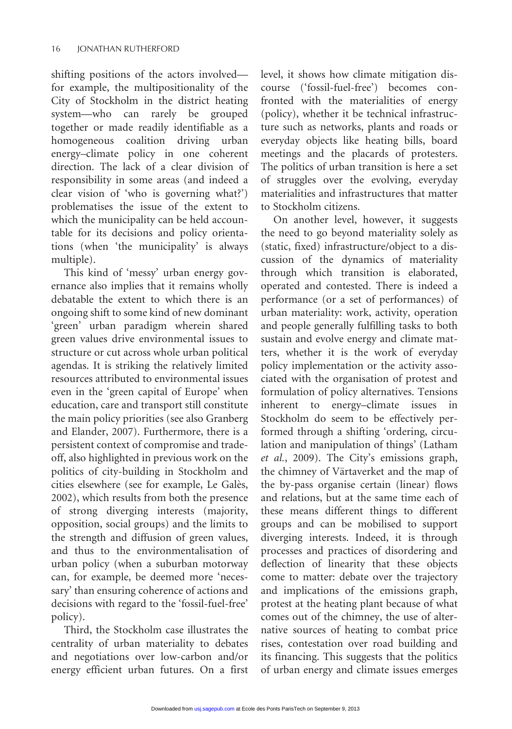shifting positions of the actors involved for example, the multipositionality of the City of Stockholm in the district heating system—who can rarely be grouped together or made readily identifiable as a homogeneous coalition driving urban energy–climate policy in one coherent direction. The lack of a clear division of responsibility in some areas (and indeed a clear vision of 'who is governing what?') problematises the issue of the extent to which the municipality can be held accountable for its decisions and policy orientations (when 'the municipality' is always multiple).

This kind of 'messy' urban energy governance also implies that it remains wholly debatable the extent to which there is an ongoing shift to some kind of new dominant 'green' urban paradigm wherein shared green values drive environmental issues to structure or cut across whole urban political agendas. It is striking the relatively limited resources attributed to environmental issues even in the 'green capital of Europe' when education, care and transport still constitute the main policy priorities (see also Granberg and Elander, 2007). Furthermore, there is a persistent context of compromise and tradeoff, also highlighted in previous work on the politics of city-building in Stockholm and cities elsewhere (see for example, Le Galès, 2002), which results from both the presence of strong diverging interests (majority, opposition, social groups) and the limits to the strength and diffusion of green values, and thus to the environmentalisation of urban policy (when a suburban motorway can, for example, be deemed more 'necessary' than ensuring coherence of actions and decisions with regard to the 'fossil-fuel-free' policy).

Third, the Stockholm case illustrates the centrality of urban materiality to debates and negotiations over low-carbon and/or energy efficient urban futures. On a first

level, it shows how climate mitigation discourse ('fossil-fuel-free') becomes confronted with the materialities of energy (policy), whether it be technical infrastructure such as networks, plants and roads or everyday objects like heating bills, board meetings and the placards of protesters. The politics of urban transition is here a set of struggles over the evolving, everyday materialities and infrastructures that matter to Stockholm citizens.

On another level, however, it suggests the need to go beyond materiality solely as (static, fixed) infrastructure/object to a discussion of the dynamics of materiality through which transition is elaborated, operated and contested. There is indeed a performance (or a set of performances) of urban materiality: work, activity, operation and people generally fulfilling tasks to both sustain and evolve energy and climate matters, whether it is the work of everyday policy implementation or the activity associated with the organisation of protest and formulation of policy alternatives. Tensions inherent to energy–climate issues in Stockholm do seem to be effectively performed through a shifting 'ordering, circulation and manipulation of things' (Latham et al., 2009). The City's emissions graph, the chimney of Värtaverket and the map of the by-pass organise certain (linear) flows and relations, but at the same time each of these means different things to different groups and can be mobilised to support diverging interests. Indeed, it is through processes and practices of disordering and deflection of linearity that these objects come to matter: debate over the trajectory and implications of the emissions graph, protest at the heating plant because of what comes out of the chimney, the use of alternative sources of heating to combat price rises, contestation over road building and its financing. This suggests that the politics of urban energy and climate issues emerges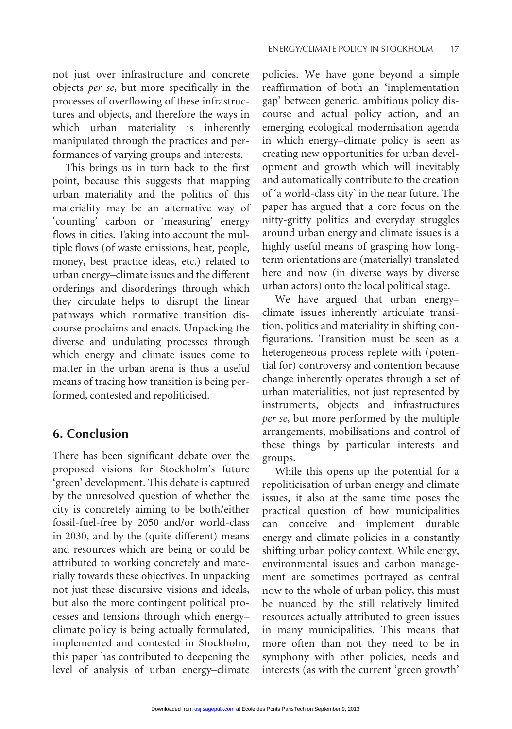not just over infrastructure and concrete objects per se, but more specifically in the processes of overflowing of these infrastructures and objects, and therefore the ways in which urban materiality is inherently manipulated through the practices and performances of varying groups and interests.

This brings us in turn back to the first point, because this suggests that mapping urban materiality and the politics of this materiality may be an alternative way of 'counting' carbon or 'measuring' energy flows in cities. Taking into account the multiple flows (of waste emissions, heat, people, money, best practice ideas, etc.) related to urban energy–climate issues and the different orderings and disorderings through which they circulate helps to disrupt the linear pathways which normative transition discourse proclaims and enacts. Unpacking the diverse and undulating processes through which energy and climate issues come to matter in the urban arena is thus a useful means of tracing how transition is being performed, contested and repoliticised.

#### 6. Conclusion

There has been significant debate over the proposed visions for Stockholm's future 'green' development. This debate is captured by the unresolved question of whether the city is concretely aiming to be both/either fossil-fuel-free by 2050 and/or world-class in 2030, and by the (quite different) means and resources which are being or could be attributed to working concretely and materially towards these objectives. In unpacking not just these discursive visions and ideals, but also the more contingent political processes and tensions through which energy– climate policy is being actually formulated, implemented and contested in Stockholm, this paper has contributed to deepening the level of analysis of urban energy–climate policies. We have gone beyond a simple reaffirmation of both an 'implementation gap' between generic, ambitious policy discourse and actual policy action, and an emerging ecological modernisation agenda in which energy–climate policy is seen as creating new opportunities for urban development and growth which will inevitably and automatically contribute to the creation of 'a world-class city' in the near future. The paper has argued that a core focus on the nitty-gritty politics and everyday struggles around urban energy and climate issues is a highly useful means of grasping how longterm orientations are (materially) translated here and now (in diverse ways by diverse urban actors) onto the local political stage.

We have argued that urban energy– climate issues inherently articulate transition, politics and materiality in shifting configurations. Transition must be seen as a heterogeneous process replete with (potential for) controversy and contention because change inherently operates through a set of urban materialities, not just represented by instruments, objects and infrastructures per se, but more performed by the multiple arrangements, mobilisations and control of these things by particular interests and groups.

While this opens up the potential for a repoliticisation of urban energy and climate issues, it also at the same time poses the practical question of how municipalities can conceive and implement durable energy and climate policies in a constantly shifting urban policy context. While energy, environmental issues and carbon management are sometimes portrayed as central now to the whole of urban policy, this must be nuanced by the still relatively limited resources actually attributed to green issues in many municipalities. This means that more often than not they need to be in symphony with other policies, needs and interests (as with the current 'green growth'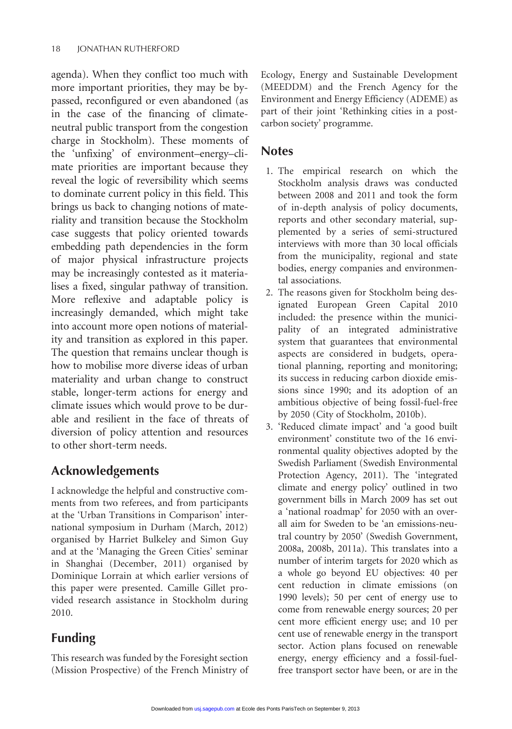agenda). When they conflict too much with more important priorities, they may be bypassed, reconfigured or even abandoned (as in the case of the financing of climateneutral public transport from the congestion charge in Stockholm). These moments of the 'unfixing' of environment–energy–climate priorities are important because they reveal the logic of reversibility which seems to dominate current policy in this field. This brings us back to changing notions of materiality and transition because the Stockholm case suggests that policy oriented towards embedding path dependencies in the form of major physical infrastructure projects may be increasingly contested as it materialises a fixed, singular pathway of transition. More reflexive and adaptable policy is increasingly demanded, which might take into account more open notions of materiality and transition as explored in this paper. The question that remains unclear though is how to mobilise more diverse ideas of urban materiality and urban change to construct stable, longer-term actions for energy and climate issues which would prove to be durable and resilient in the face of threats of diversion of policy attention and resources to other short-term needs.

## Acknowledgements

I acknowledge the helpful and constructive comments from two referees, and from participants at the 'Urban Transitions in Comparison' international symposium in Durham (March, 2012) organised by Harriet Bulkeley and Simon Guy and at the 'Managing the Green Cities' seminar in Shanghai (December, 2011) organised by Dominique Lorrain at which earlier versions of this paper were presented. Camille Gillet provided research assistance in Stockholm during 2010.

## Funding

This research was funded by the Foresight section (Mission Prospective) of the French Ministry of Ecology, Energy and Sustainable Development (MEEDDM) and the French Agency for the Environment and Energy Efficiency (ADEME) as part of their joint 'Rethinking cities in a postcarbon society' programme.

## **Notes**

- 1. The empirical research on which the Stockholm analysis draws was conducted between 2008 and 2011 and took the form of in-depth analysis of policy documents, reports and other secondary material, supplemented by a series of semi-structured interviews with more than 30 local officials from the municipality, regional and state bodies, energy companies and environmental associations.
- 2. The reasons given for Stockholm being designated European Green Capital 2010 included: the presence within the municipality of an integrated administrative system that guarantees that environmental aspects are considered in budgets, operational planning, reporting and monitoring; its success in reducing carbon dioxide emissions since 1990; and its adoption of an ambitious objective of being fossil-fuel-free by 2050 (City of Stockholm, 2010b).
- 3. 'Reduced climate impact' and 'a good built environment' constitute two of the 16 environmental quality objectives adopted by the Swedish Parliament (Swedish Environmental Protection Agency, 2011). The 'integrated climate and energy policy' outlined in two government bills in March 2009 has set out a 'national roadmap' for 2050 with an overall aim for Sweden to be 'an emissions-neutral country by 2050' (Swedish Government, 2008a, 2008b, 2011a). This translates into a number of interim targets for 2020 which as a whole go beyond EU objectives: 40 per cent reduction in climate emissions (on 1990 levels); 50 per cent of energy use to come from renewable energy sources; 20 per cent more efficient energy use; and 10 per cent use of renewable energy in the transport sector. Action plans focused on renewable energy, energy efficiency and a fossil-fuelfree transport sector have been, or are in the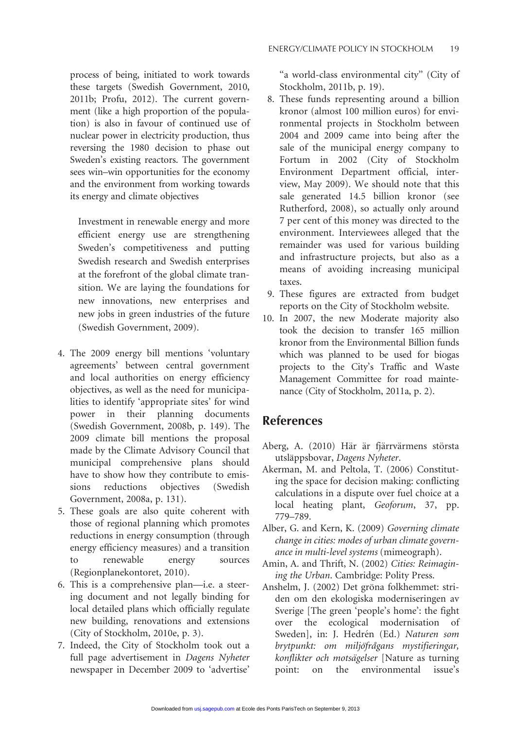process of being, initiated to work towards these targets (Swedish Government, 2010, 2011b; Profu, 2012). The current government (like a high proportion of the population) is also in favour of continued use of nuclear power in electricity production, thus reversing the 1980 decision to phase out Sweden's existing reactors. The government sees win–win opportunities for the economy and the environment from working towards its energy and climate objectives

Investment in renewable energy and more efficient energy use are strengthening Sweden's competitiveness and putting Swedish research and Swedish enterprises at the forefront of the global climate transition. We are laying the foundations for new innovations, new enterprises and new jobs in green industries of the future (Swedish Government, 2009).

- 4. The 2009 energy bill mentions 'voluntary agreements' between central government and local authorities on energy efficiency objectives, as well as the need for municipalities to identify 'appropriate sites' for wind power in their planning documents (Swedish Government, 2008b, p. 149). The 2009 climate bill mentions the proposal made by the Climate Advisory Council that municipal comprehensive plans should have to show how they contribute to emissions reductions objectives (Swedish Government, 2008a, p. 131).
- 5. These goals are also quite coherent with those of regional planning which promotes reductions in energy consumption (through energy efficiency measures) and a transition to renewable energy sources (Regionplanekontoret, 2010).
- 6. This is a comprehensive plan—i.e. a steering document and not legally binding for local detailed plans which officially regulate new building, renovations and extensions (City of Stockholm, 2010e, p. 3).
- 7. Indeed, the City of Stockholm took out a full page advertisement in Dagens Nyheter newspaper in December 2009 to 'advertise'

"a world-class environmental city" (City of Stockholm, 2011b, p. 19).

- 8. These funds representing around a billion kronor (almost 100 million euros) for environmental projects in Stockholm between 2004 and 2009 came into being after the sale of the municipal energy company to Fortum in 2002 (City of Stockholm Environment Department official, interview, May 2009). We should note that this sale generated 14.5 billion kronor (see Rutherford, 2008), so actually only around 7 per cent of this money was directed to the environment. Interviewees alleged that the remainder was used for various building and infrastructure projects, but also as a means of avoiding increasing municipal taxes.
- 9. These figures are extracted from budget reports on the City of Stockholm website.
- 10. In 2007, the new Moderate majority also took the decision to transfer 165 million kronor from the Environmental Billion funds which was planned to be used for biogas projects to the City's Traffic and Waste Management Committee for road maintenance (City of Stockholm, 2011a, p. 2).

## References

- Aberg, A. (2010) Här är fjärrvärmens största utsläppsbovar, Dagens Nyheter.
- Akerman, M. and Peltola, T. (2006) Constituting the space for decision making: conflicting calculations in a dispute over fuel choice at a local heating plant, Geoforum, 37, pp. 779–789.
- Alber, G. and Kern, K. (2009) Governing climate change in cities: modes of urban climate governance in multi-level systems (mimeograph).
- Amin, A. and Thrift, N. (2002) Cities: Reimagining the Urban. Cambridge: Polity Press.
- Anshelm, J. (2002) Det gröna folkhemmet: striden om den ekologiska moderniseringen av Sverige [The green 'people's home': the fight over the ecological modernisation Sweden], in: J. Hedrén (Ed.) Naturen som brytpunkt: om miljöfrågans mystifieringar, konflikter och motsägelser [Nature as turning point: on the environmental issue's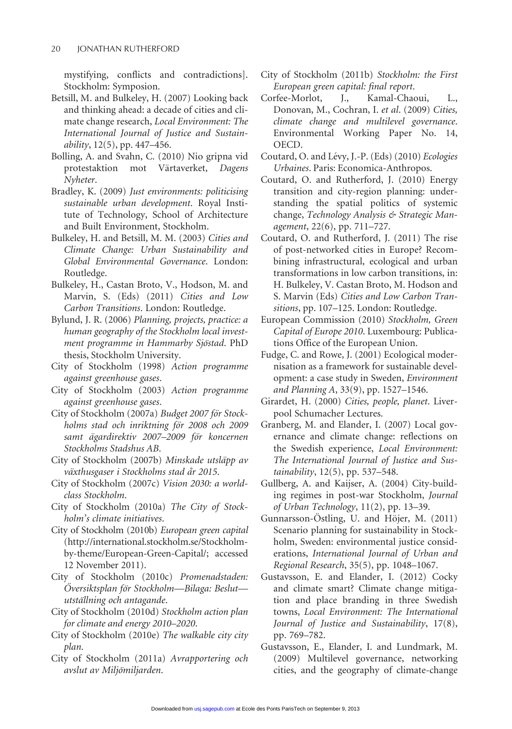mystifying, conflicts and contradictions]. Stockholm: Symposion.

- Betsill, M. and Bulkeley, H. (2007) Looking back and thinking ahead: a decade of cities and climate change research, Local Environment: The International Journal of Justice and Sustainability, 12(5), pp. 447–456.
- Bolling, A. and Svahn, C. (2010) Nio gripna vid protestaktion mot Värtaverket, Dagens Nyheter.
- Bradley, K. (2009) Just environments: politicising sustainable urban development. Royal Institute of Technology, School of Architecture and Built Environment, Stockholm.
- Bulkeley, H. and Betsill, M. M. (2003) Cities and Climate Change: Urban Sustainability and Global Environmental Governance. London: Routledge.
- Bulkeley, H., Castan Broto, V., Hodson, M. and Marvin, S. (Eds) (2011) Cities and Low Carbon Transitions. London: Routledge.
- Bylund, J. R. (2006) Planning, projects, practice: a human geography of the Stockholm local investment programme in Hammarby Sjöstad. PhD thesis, Stockholm University.
- City of Stockholm (1998) Action programme against greenhouse gases.
- City of Stockholm (2003) Action programme against greenhouse gases.
- City of Stockholm (2007a) Budget 2007 för Stockholms stad och inriktning för 2008 och 2009 samt ägardirektiv 2007–2009 för koncernen Stockholms Stadshus AB.
- City of Stockholm (2007b) Minskade utsläpp av växthusgaser i Stockholms stad år 2015.
- City of Stockholm (2007c) Vision 2030: a worldclass Stockholm.
- City of Stockholm (2010a) The City of Stockholm's climate initiatives.
- City of Stockholm (2010b) European green capital (http://international.stockholm.se/Stockholmby-theme/European-Green-Capital/; accessed 12 November 2011).
- City of Stockholm (2010c) Promenadstaden: Översiktsplan för Stockholm—Bilaga: Beslut utställning och antagande.
- City of Stockholm (2010d) Stockholm action plan for climate and energy 2010–2020.
- City of Stockholm (2010e) The walkable city city plan.
- City of Stockholm (2011a) Avrapportering och avslut av Miljömiljarden.
- City of Stockholm (2011b) Stockholm: the First European green capital: final report.
- Corfee-Morlot, J., Kamal-Chaoui, L., Donovan, M., Cochran, I. et al. (2009) Cities, climate change and multilevel governance. Environmental Working Paper No. 14, OECD.
- Coutard, O. and Lévy, J.-P. (Eds) (2010) Ecologies Urbaines. Paris: Economica-Anthropos.
- Coutard, O. and Rutherford, J. (2010) Energy transition and city-region planning: understanding the spatial politics of systemic change, Technology Analysis & Strategic Management, 22(6), pp. 711–727.
- Coutard, O. and Rutherford, J. (2011) The rise of post-networked cities in Europe? Recombining infrastructural, ecological and urban transformations in low carbon transitions, in: H. Bulkeley, V. Castan Broto, M. Hodson and S. Marvin (Eds) Cities and Low Carbon Transitions, pp. 107–125. London: Routledge.
- European Commission (2010) Stockholm, Green Capital of Europe 2010. Luxembourg: Publications Office of the European Union.
- Fudge, C. and Rowe, J. (2001) Ecological modernisation as a framework for sustainable development: a case study in Sweden, Environment and Planning A, 33(9), pp. 1527–1546.
- Girardet, H. (2000) Cities, people, planet. Liverpool Schumacher Lectures.
- Granberg, M. and Elander, I. (2007) Local governance and climate change: reflections on the Swedish experience, Local Environment: The International Journal of Justice and Sustainability, 12(5), pp. 537–548.
- Gullberg, A. and Kaijser, A. (2004) City-building regimes in post-war Stockholm, Journal of Urban Technology, 11(2), pp. 13–39.
- Gunnarsson-Östling, U. and Höjer, M. (2011) Scenario planning for sustainability in Stockholm, Sweden: environmental justice considerations, International Journal of Urban and Regional Research, 35(5), pp. 1048–1067.
- Gustavsson, E. and Elander, I. (2012) Cocky and climate smart? Climate change mitigation and place branding in three Swedish towns, Local Environment: The International Journal of Justice and Sustainability, 17(8), pp. 769–782.
- Gustavsson, E., Elander, I. and Lundmark, M. (2009) Multilevel governance, networking cities, and the geography of climate-change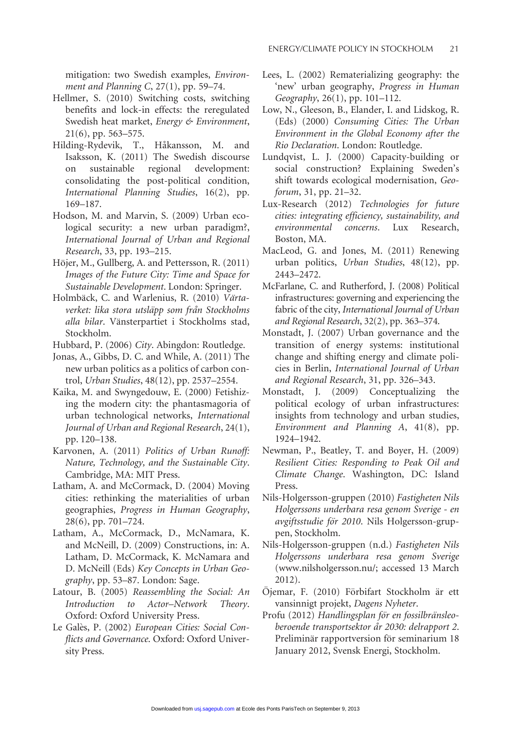mitigation: two Swedish examples, Environment and Planning C, 27(1), pp. 59–74.

- Hellmer, S. (2010) Switching costs, switching benefits and lock-in effects: the reregulated Swedish heat market, Energy & Environment, 21(6), pp. 563–575.
- Hilding-Rydevik, T., Håkansson, M. and Isaksson, K. (2011) The Swedish discourse on sustainable regional development: consolidating the post-political condition, International Planning Studies, 16(2), pp. 169–187.
- Hodson, M. and Marvin, S. (2009) Urban ecological security: a new urban paradigm?, International Journal of Urban and Regional Research, 33, pp. 193–215.
- Höjer, M., Gullberg, A. and Pettersson, R. (2011) Images of the Future City: Time and Space for Sustainable Development. London: Springer.
- Holmbäck, C. and Warlenius, R. (2010) Värtaverket: lika stora utsläpp som från Stockholms alla bilar. Vänsterpartiet i Stockholms stad, Stockholm.
- Hubbard, P. (2006) City. Abingdon: Routledge.
- Jonas, A., Gibbs, D. C. and While, A. (2011) The new urban politics as a politics of carbon control, Urban Studies, 48(12), pp. 2537–2554.
- Kaika, M. and Swyngedouw, E. (2000) Fetishizing the modern city: the phantasmagoria of urban technological networks, International Journal of Urban and Regional Research, 24(1), pp. 120–138.
- Karvonen, A. (2011) Politics of Urban Runoff: Nature, Technology, and the Sustainable City. Cambridge, MA: MIT Press.
- Latham, A. and McCormack, D. (2004) Moving cities: rethinking the materialities of urban geographies, Progress in Human Geography, 28(6), pp. 701–724.
- Latham, A., McCormack, D., McNamara, K. and McNeill, D. (2009) Constructions, in: A. Latham, D. McCormack, K. McNamara and D. McNeill (Eds) Key Concepts in Urban Geography, pp. 53–87. London: Sage.
- Latour, B. (2005) Reassembling the Social: An Introduction to Actor–Network Theory. Oxford: Oxford University Press.
- Le Galès, P. (2002) European Cities: Social Conflicts and Governance. Oxford: Oxford University Press.
- Lees, L. (2002) Rematerializing geography: the 'new' urban geography, Progress in Human Geography, 26(1), pp. 101–112.
- Low, N., Gleeson, B., Elander, I. and Lidskog, R. (Eds) (2000) Consuming Cities: The Urban Environment in the Global Economy after the Rio Declaration. London: Routledge.
- Lundqvist, L. J. (2000) Capacity-building or social construction? Explaining Sweden's shift towards ecological modernisation, Geoforum, 31, pp. 21–32.
- Lux-Research (2012) Technologies for future cities: integrating efficiency, sustainability, and environmental concerns. Lux Research, Boston, MA.
- MacLeod, G. and Jones, M. (2011) Renewing urban politics, Urban Studies, 48(12), pp. 2443–2472.
- McFarlane, C. and Rutherford, J. (2008) Political infrastructures: governing and experiencing the fabric of the city, International Journal of Urban and Regional Research, 32(2), pp. 363–374.
- Monstadt, J. (2007) Urban governance and the transition of energy systems: institutional change and shifting energy and climate policies in Berlin, International Journal of Urban and Regional Research, 31, pp. 326–343.
- Monstadt, J. (2009) Conceptualizing the political ecology of urban infrastructures: insights from technology and urban studies, Environment and Planning A, 41(8), pp. 1924–1942.
- Newman, P., Beatley, T. and Boyer, H. (2009) Resilient Cities: Responding to Peak Oil and Climate Change. Washington, DC: Island Press.
- Nils-Holgersson-gruppen (2010) Fastigheten Nils Holgerssons underbara resa genom Sverige - en avgiftsstudie för 2010. Nils Holgersson-gruppen, Stockholm.
- Nils-Holgersson-gruppen (n.d.) Fastigheten Nils Holgerssons underbara resa genom Sverige (www.nilsholgersson.nu/; accessed 13 March 2012).
- Öjemar, F. (2010) Förbifart Stockholm är ett vansinnigt projekt, Dagens Nyheter.
- Profu (2012) Handlingsplan för en fossilbränsleoberoende transportsektor år 2030: delrapport 2. Preliminär rapportversion för seminarium 18 January 2012, Svensk Energi, Stockholm.